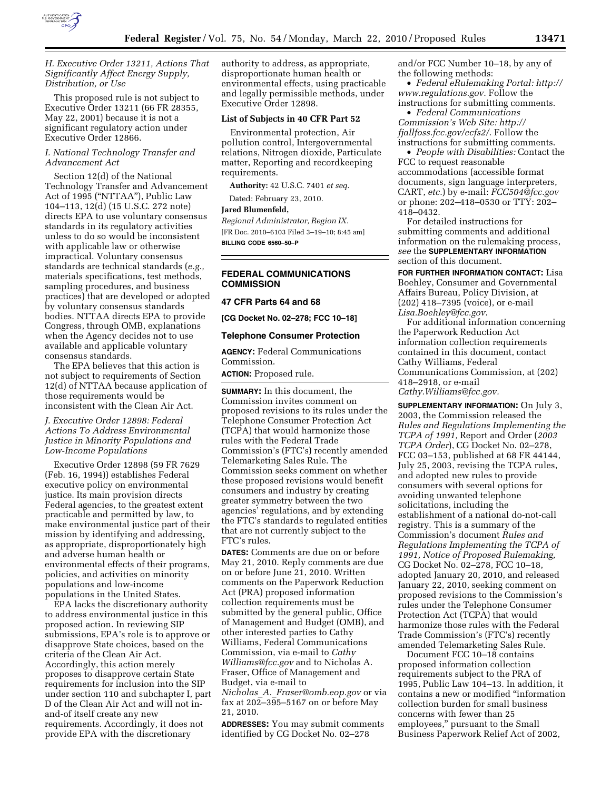

# *H. Executive Order 13211, Actions That Significantly Affect Energy Supply, Distribution, or Use*

This proposed rule is not subject to Executive Order 13211 (66 FR 28355, May 22, 2001) because it is not a significant regulatory action under Executive Order 12866.

# *I. National Technology Transfer and Advancement Act*

Section 12(d) of the National Technology Transfer and Advancement Act of 1995 (''NTTAA''), Public Law 104–113, 12(d) (15 U.S.C. 272 note) directs EPA to use voluntary consensus standards in its regulatory activities unless to do so would be inconsistent with applicable law or otherwise impractical. Voluntary consensus standards are technical standards (*e.g.,*  materials specifications, test methods, sampling procedures, and business practices) that are developed or adopted by voluntary consensus standards bodies. NTTAA directs EPA to provide Congress, through OMB, explanations when the Agency decides not to use available and applicable voluntary consensus standards.

The EPA believes that this action is not subject to requirements of Section 12(d) of NTTAA because application of those requirements would be inconsistent with the Clean Air Act.

# *J. Executive Order 12898: Federal Actions To Address Environmental Justice in Minority Populations and Low-Income Populations*

Executive Order 12898 (59 FR 7629 (Feb. 16, 1994)) establishes Federal executive policy on environmental justice. Its main provision directs Federal agencies, to the greatest extent practicable and permitted by law, to make environmental justice part of their mission by identifying and addressing, as appropriate, disproportionately high and adverse human health or environmental effects of their programs, policies, and activities on minority populations and low-income populations in the United States.

EPA lacks the discretionary authority to address environmental justice in this proposed action. In reviewing SIP submissions, EPA's role is to approve or disapprove State choices, based on the criteria of the Clean Air Act. Accordingly, this action merely proposes to disapprove certain State requirements for inclusion into the SIP under section 110 and subchapter I, part D of the Clean Air Act and will not inand-of itself create any new requirements. Accordingly, it does not provide EPA with the discretionary

authority to address, as appropriate, disproportionate human health or environmental effects, using practicable and legally permissible methods, under Executive Order 12898.

# **List of Subjects in 40 CFR Part 52**

Environmental protection, Air pollution control, Intergovernmental relations, Nitrogen dioxide, Particulate matter, Reporting and recordkeeping requirements.

**Authority:** 42 U.S.C. 7401 *et seq.* 

Dated: February 23, 2010.

#### **Jared Blumenfeld,**

*Regional Administrator, Region IX.*  [FR Doc. 2010–6103 Filed 3–19–10; 8:45 am] **BILLING CODE 6560–50–P** 

# **FEDERAL COMMUNICATIONS COMMISSION**

#### **47 CFR Parts 64 and 68**

**[CG Docket No. 02–278; FCC 10–18]** 

#### **Telephone Consumer Protection**

**AGENCY:** Federal Communications Commission.

## **ACTION:** Proposed rule.

**SUMMARY:** In this document, the Commission invites comment on proposed revisions to its rules under the Telephone Consumer Protection Act (TCPA) that would harmonize those rules with the Federal Trade Commission's (FTC's) recently amended Telemarketing Sales Rule. The Commission seeks comment on whether these proposed revisions would benefit consumers and industry by creating greater symmetry between the two agencies' regulations, and by extending the FTC's standards to regulated entities that are not currently subject to the FTC's rules.

**DATES:** Comments are due on or before May 21, 2010. Reply comments are due on or before June 21, 2010. Written comments on the Paperwork Reduction Act (PRA) proposed information collection requirements must be submitted by the general public, Office of Management and Budget (OMB), and other interested parties to Cathy Williams, Federal Communications Commission, via e-mail to *Cathy Williams@fcc.gov* and to Nicholas A. Fraser, Office of Management and Budget, via e-mail to *Nicholas*\_*A.*\_*Fraser@omb.eop.gov* or via

fax at 202–395–5167 on or before May 21, 2010.

**ADDRESSES:** You may submit comments identified by CG Docket No. 02–278

and/or FCC Number 10–18, by any of the following methods:

• *Federal eRulemaking Portal: http:// www.regulations.gov*. Follow the instructions for submitting comments.

• *Federal Communications Commission's Web Site: http:// fjallfoss.fcc.gov/ecfs2/*. Follow the instructions for submitting comments.

• *People with Disabilities:* Contact the FCC to request reasonable accommodations (accessible format documents, sign language interpreters, CART, *etc.*) by e-mail: *FCC504@fcc.gov*  or phone: 202–418–0530 or TTY: 202– 418–0432.

For detailed instructions for submitting comments and additional information on the rulemaking process, *see* the **SUPPLEMENTARY INFORMATION** section of this document.

**FOR FURTHER INFORMATION CONTACT:** Lisa Boehley, Consumer and Governmental Affairs Bureau, Policy Division, at (202) 418–7395 (voice), or e-mail *Lisa.Boehley@fcc.gov*.

For additional information concerning the Paperwork Reduction Act information collection requirements contained in this document, contact Cathy Williams, Federal Communications Commission, at (202) 418–2918, or e-mail *Cathy.Williams@fcc.gov.* 

**SUPPLEMENTARY INFORMATION:** On July 3, 2003, the Commission released the *Rules and Regulations Implementing the TCPA of 1991,* Report and Order (*2003 TCPA Order*), CG Docket No. 02–278, FCC 03–153, published at 68 FR 44144, July 25, 2003, revising the TCPA rules, and adopted new rules to provide consumers with several options for avoiding unwanted telephone solicitations, including the establishment of a national do-not-call registry. This is a summary of the Commission's document *Rules and Regulations Implementing the TCPA of 1991, Notice of Proposed Rulemaking,*  CG Docket No. 02–278, FCC 10–18, adopted January 20, 2010, and released January 22, 2010, seeking comment on proposed revisions to the Commission's rules under the Telephone Consumer Protection Act (TCPA) that would harmonize those rules with the Federal Trade Commission's (FTC's) recently amended Telemarketing Sales Rule.

Document FCC 10–18 contains proposed information collection requirements subject to the PRA of 1995, Public Law 104–13. In addition, it contains a new or modified ''information collection burden for small business concerns with fewer than 25 employees,'' pursuant to the Small Business Paperwork Relief Act of 2002,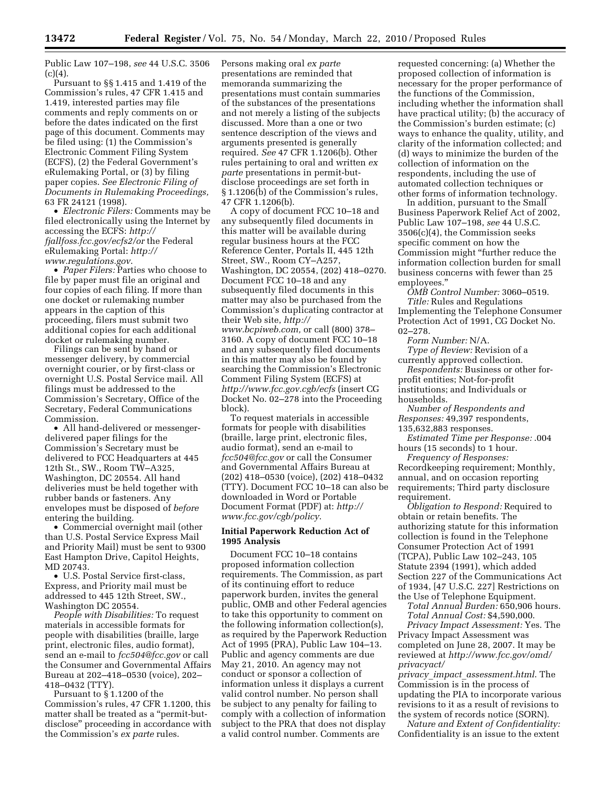Public Law 107–198, *see* 44 U.S.C. 3506  $(c)(4).$ 

Pursuant to §§ 1.415 and 1.419 of the Commission's rules, 47 CFR 1.415 and 1.419, interested parties may file comments and reply comments on or before the dates indicated on the first page of this document. Comments may be filed using: (1) the Commission's Electronic Comment Filing System (ECFS), (2) the Federal Government's eRulemaking Portal, or (3) by filing paper copies. *See Electronic Filing of Documents in Rulemaking Proceedings,*  63 FR 24121 (1998).

• *Electronic Filers:* Comments may be filed electronically using the Internet by accessing the ECFS: *http:// fjallfoss.fcc.gov/ecfs2/or* the Federal eRulemaking Portal: *http:// www.regulations.gov*.

• *Paper Filers:* Parties who choose to file by paper must file an original and four copies of each filing. If more than one docket or rulemaking number appears in the caption of this proceeding, filers must submit two additional copies for each additional docket or rulemaking number.

Filings can be sent by hand or messenger delivery, by commercial overnight courier, or by first-class or overnight U.S. Postal Service mail. All filings must be addressed to the Commission's Secretary, Office of the Secretary, Federal Communications Commission.

• All hand-delivered or messengerdelivered paper filings for the Commission's Secretary must be delivered to FCC Headquarters at 445 12th St., SW., Room TW–A325, Washington, DC 20554. All hand deliveries must be held together with rubber bands or fasteners. Any envelopes must be disposed of *before*  entering the building.

• Commercial overnight mail (other than U.S. Postal Service Express Mail and Priority Mail) must be sent to 9300 East Hampton Drive, Capitol Heights, MD 20743.

• U.S. Postal Service first-class, Express, and Priority mail must be addressed to 445 12th Street, SW., Washington DC 20554.

*People with Disabilities:* To request materials in accessible formats for people with disabilities (braille, large print, electronic files, audio format), send an e-mail to *fcc504@fcc.gov* or call the Consumer and Governmental Affairs Bureau at 202–418–0530 (voice), 202– 418–0432 (TTY).

Pursuant to § 1.1200 of the Commission's rules, 47 CFR 1.1200, this matter shall be treated as a ''permit-butdisclose'' proceeding in accordance with the Commission's *ex parte* rules.

Persons making oral *ex parte*  presentations are reminded that memoranda summarizing the presentations must contain summaries of the substances of the presentations and not merely a listing of the subjects discussed. More than a one or two sentence description of the views and arguments presented is generally required. *See* 47 CFR 1.1206(b). Other rules pertaining to oral and written *ex parte* presentations in permit-butdisclose proceedings are set forth in § 1.1206(b) of the Commission's rules, 47 CFR 1.1206(b).

A copy of document FCC 10–18 and any subsequently filed documents in this matter will be available during regular business hours at the FCC Reference Center, Portals II, 445 12th Street, SW., Room CY–A257, Washington, DC 20554, (202) 418–0270. Document FCC 10–18 and any subsequently filed documents in this matter may also be purchased from the Commission's duplicating contractor at their Web site, *http:// www.bcpiweb.com,* or call (800) 378– 3160. A copy of document FCC 10–18 and any subsequently filed documents in this matter may also be found by searching the Commission's Electronic Comment Filing System (ECFS) at *http://www.fcc.gov.cgb/ecfs* (insert CG Docket No. 02–278 into the Proceeding block).

To request materials in accessible formats for people with disabilities (braille, large print, electronic files, audio format), send an e-mail to *fcc504@fcc.gov* or call the Consumer and Governmental Affairs Bureau at (202) 418–0530 (voice), (202) 418–0432 (TTY). Document FCC 10–18 can also be downloaded in Word or Portable Document Format (PDF) at: *http:// www.fcc.gov/cgb/policy*.

## **Initial Paperwork Reduction Act of 1995 Analysis**

Document FCC 10–18 contains proposed information collection requirements. The Commission, as part of its continuing effort to reduce paperwork burden, invites the general public, OMB and other Federal agencies to take this opportunity to comment on the following information collection(s), as required by the Paperwork Reduction Act of 1995 (PRA), Public Law 104–13. Public and agency comments are due May 21, 2010. An agency may not conduct or sponsor a collection of information unless it displays a current valid control number. No person shall be subject to any penalty for failing to comply with a collection of information subject to the PRA that does not display a valid control number. Comments are

requested concerning: (a) Whether the proposed collection of information is necessary for the proper performance of the functions of the Commission, including whether the information shall have practical utility; (b) the accuracy of the Commission's burden estimate; (c) ways to enhance the quality, utility, and clarity of the information collected; and (d) ways to minimize the burden of the collection of information on the respondents, including the use of automated collection techniques or other forms of information technology.

In addition, pursuant to the Small Business Paperwork Relief Act of 2002, Public Law 107–198, *see* 44 U.S.C. 3506(c)(4), the Commission seeks specific comment on how the Commission might ''further reduce the information collection burden for small business concerns with fewer than 25 employees.''

*OMB Control Number:* 3060–0519. *Title:* Rules and Regulations Implementing the Telephone Consumer Protection Act of 1991, CG Docket No. 02–278.

*Form Number:* N/A.

*Type of Review:* Revision of a currently approved collection.

*Respondents:* Business or other forprofit entities; Not-for-profit institutions; and Individuals or households.

*Number of Respondents and Responses:* 49,397 respondents,

135,632,883 responses.

*Estimated Time per Response:* .004 hours (15 seconds) to 1 hour.

*Frequency of Responses:*  Recordkeeping requirement; Monthly, annual, and on occasion reporting requirements; Third party disclosure requirement.

*Obligation to Respond:* Required to obtain or retain benefits. The authorizing statute for this information collection is found in the Telephone Consumer Protection Act of 1991 (TCPA), Public Law 102–243, 105 Statute 2394 (1991), which added Section 227 of the Communications Act of 1934, [47 U.S.C. 227] Restrictions on the Use of Telephone Equipment.

*Total Annual Burden:* 650,906 hours. *Total Annual Cost:* \$4,590,000.

*Privacy Impact Assessment:* Yes. The Privacy Impact Assessment was completed on June 28, 2007. It may be reviewed at *http://www.fcc.gov/omd/ privacyact/* 

*privacy*\_*impact*\_*assessment.html*. The Commission is in the process of updating the PIA to incorporate various revisions to it as a result of revisions to the system of records notice (SORN).

*Nature and Extent of Confidentiality:*  Confidentiality is an issue to the extent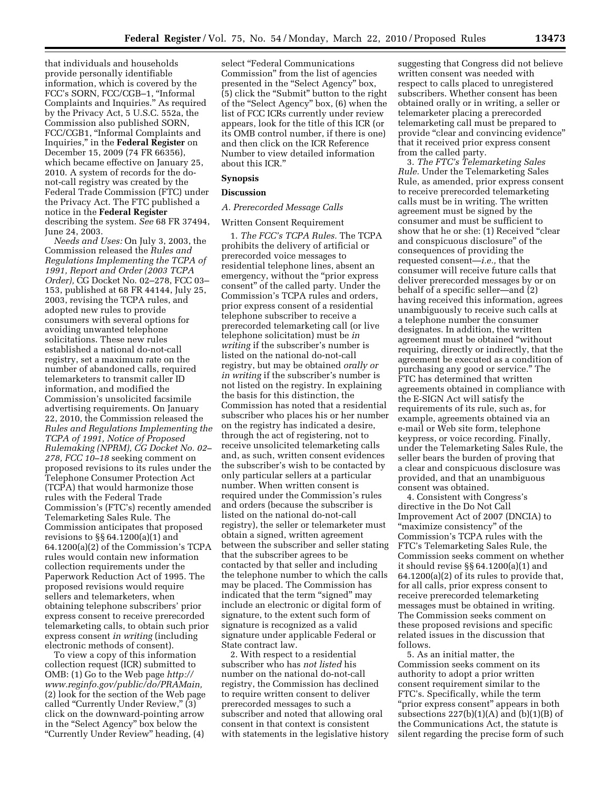that individuals and households provide personally identifiable information, which is covered by the FCC's SORN, FCC/CGB–1, ''Informal Complaints and Inquiries.'' As required by the Privacy Act, 5 U.S.C. 552a, the Commission also published SORN, FCC/CGB1, ''Informal Complaints and Inquiries,'' in the **Federal Register** on December 15, 2009 (74 FR 66356), which became effective on January 25, 2010. A system of records for the donot-call registry was created by the Federal Trade Commission (FTC) under the Privacy Act. The FTC published a notice in the **Federal Register**  describing the system. *See* 68 FR 37494, June 24, 2003.

*Needs and Uses:* On July 3, 2003, the Commission released the *Rules and Regulations Implementing the TCPA of 1991, Report and Order (2003 TCPA Order),* CG Docket No. 02–278, FCC 03– 153, published at 68 FR 44144, July 25, 2003, revising the TCPA rules, and adopted new rules to provide consumers with several options for avoiding unwanted telephone solicitations. These new rules established a national do-not-call registry, set a maximum rate on the number of abandoned calls, required telemarketers to transmit caller ID information, and modified the Commission's unsolicited facsimile advertising requirements. On January 22, 2010, the Commission released the *Rules and Regulations Implementing the TCPA of 1991, Notice of Proposed Rulemaking (NPRM), CG Docket No. 02– 278, FCC 10–18* seeking comment on proposed revisions to its rules under the Telephone Consumer Protection Act (TCPA) that would harmonize those rules with the Federal Trade Commission's (FTC's) recently amended Telemarketing Sales Rule. The Commission anticipates that proposed revisions to §§ 64.1200(a)(1) and 64.1200(a)(2) of the Commission's TCPA rules would contain new information collection requirements under the Paperwork Reduction Act of 1995. The proposed revisions would require sellers and telemarketers, when obtaining telephone subscribers' prior express consent to receive prerecorded telemarketing calls, to obtain such prior express consent *in writing* (including electronic methods of consent).

To view a copy of this information collection request (ICR) submitted to OMB: (1) Go to the Web page *http:// www.reginfo.gov/public/do/PRAMain,*  (2) look for the section of the Web page called "Currently Under Review," (3) click on the downward-pointing arrow in the ''Select Agency'' box below the ''Currently Under Review'' heading, (4)

select "Federal Communications Commission'' from the list of agencies presented in the ''Select Agency'' box, (5) click the ''Submit'' button to the right of the ''Select Agency'' box, (6) when the list of FCC ICRs currently under review appears, look for the title of this ICR (or its OMB control number, if there is one) and then click on the ICR Reference Number to view detailed information about this ICR.''

## **Synopsis**

#### **Discussion**

#### *A. Prerecorded Message Calls*

## Written Consent Requirement

1. *The FCC's TCPA Rules.* The TCPA prohibits the delivery of artificial or prerecorded voice messages to residential telephone lines, absent an emergency, without the "prior express" consent'' of the called party. Under the Commission's TCPA rules and orders, prior express consent of a residential telephone subscriber to receive a prerecorded telemarketing call (or live telephone solicitation) must be *in writing* if the subscriber's number is listed on the national do-not-call registry, but may be obtained *orally or in writing* if the subscriber's number is not listed on the registry. In explaining the basis for this distinction, the Commission has noted that a residential subscriber who places his or her number on the registry has indicated a desire, through the act of registering, not to receive unsolicited telemarketing calls and, as such, written consent evidences the subscriber's wish to be contacted by only particular sellers at a particular number. When written consent is required under the Commission's rules and orders (because the subscriber is listed on the national do-not-call registry), the seller or telemarketer must obtain a signed, written agreement between the subscriber and seller stating that the subscriber agrees to be contacted by that seller and including the telephone number to which the calls may be placed. The Commission has indicated that the term "signed" may include an electronic or digital form of signature, to the extent such form of signature is recognized as a valid signature under applicable Federal or State contract law.

2. With respect to a residential subscriber who has *not listed* his number on the national do-not-call registry, the Commission has declined to require written consent to deliver prerecorded messages to such a subscriber and noted that allowing oral consent in that context is consistent with statements in the legislative history suggesting that Congress did not believe written consent was needed with respect to calls placed to unregistered subscribers. Whether consent has been obtained orally or in writing, a seller or telemarketer placing a prerecorded telemarketing call must be prepared to provide "clear and convincing evidence" that it received prior express consent from the called party.

3. *The FTC's Telemarketing Sales Rule.* Under the Telemarketing Sales Rule, as amended, prior express consent to receive prerecorded telemarketing calls must be in writing. The written agreement must be signed by the consumer and must be sufficient to show that he or she: (1) Received ''clear and conspicuous disclosure'' of the consequences of providing the requested consent—*i.e.,* that the consumer will receive future calls that deliver prerecorded messages by or on behalf of a specific seller—and (2) having received this information, agrees unambiguously to receive such calls at a telephone number the consumer designates. In addition, the written agreement must be obtained ''without requiring, directly or indirectly, that the agreement be executed as a condition of purchasing any good or service.'' The FTC has determined that written agreements obtained in compliance with the E-SIGN Act will satisfy the requirements of its rule, such as, for example, agreements obtained via an e-mail or Web site form, telephone keypress, or voice recording. Finally, under the Telemarketing Sales Rule, the seller bears the burden of proving that a clear and conspicuous disclosure was provided, and that an unambiguous consent was obtained.

4. Consistent with Congress's directive in the Do Not Call Improvement Act of 2007 (DNCIA) to "maximize consistency" of the Commission's TCPA rules with the FTC's Telemarketing Sales Rule, the Commission seeks comment on whether it should revise §§ 64.1200(a)(1) and 64.1200(a)(2) of its rules to provide that, for all calls, prior express consent to receive prerecorded telemarketing messages must be obtained in writing. The Commission seeks comment on these proposed revisions and specific related issues in the discussion that follows.

5. As an initial matter, the Commission seeks comment on its authority to adopt a prior written consent requirement similar to the FTC's. Specifically, while the term "prior express consent" appears in both subsections  $227(b)(1)(A)$  and  $(b)(1)(B)$  of the Communications Act, the statute is silent regarding the precise form of such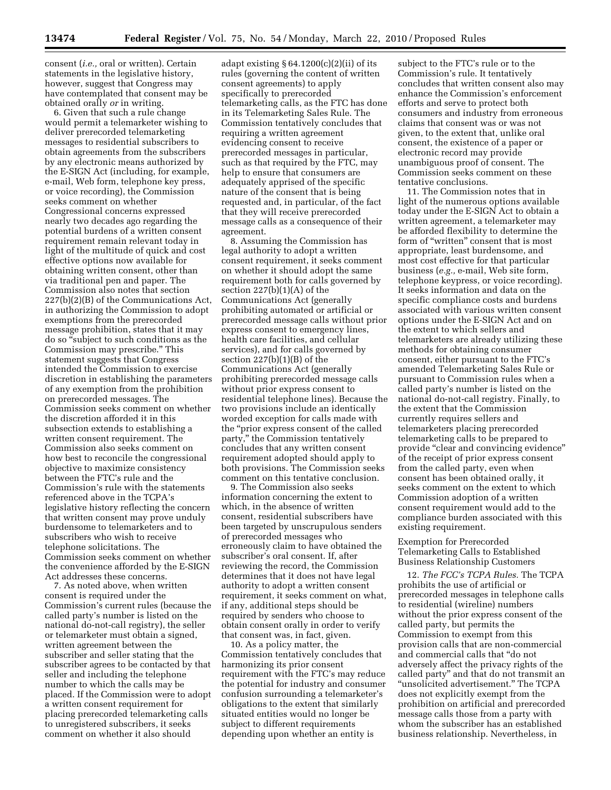consent (*i.e.,* oral or written). Certain statements in the legislative history, however, suggest that Congress may have contemplated that consent may be obtained orally *or* in writing.

6. Given that such a rule change would permit a telemarketer wishing to deliver prerecorded telemarketing messages to residential subscribers to obtain agreements from the subscribers by any electronic means authorized by the E-SIGN Act (including, for example, e-mail, Web form, telephone key press, or voice recording), the Commission seeks comment on whether Congressional concerns expressed nearly two decades ago regarding the potential burdens of a written consent requirement remain relevant today in light of the multitude of quick and cost effective options now available for obtaining written consent, other than via traditional pen and paper. The Commission also notes that section 227(b)(2)(B) of the Communications Act, in authorizing the Commission to adopt exemptions from the prerecorded message prohibition, states that it may do so ''subject to such conditions as the Commission may prescribe.'' This statement suggests that Congress intended the Commission to exercise discretion in establishing the parameters of any exemption from the prohibition on prerecorded messages. The Commission seeks comment on whether the discretion afforded it in this subsection extends to establishing a written consent requirement. The Commission also seeks comment on how best to reconcile the congressional objective to maximize consistency between the FTC's rule and the Commission's rule with the statements referenced above in the TCPA's legislative history reflecting the concern that written consent may prove unduly burdensome to telemarketers and to subscribers who wish to receive telephone solicitations. The Commission seeks comment on whether the convenience afforded by the E-SIGN Act addresses these concerns.

7. As noted above, when written consent is required under the Commission's current rules (because the called party's number is listed on the national do-not-call registry), the seller or telemarketer must obtain a signed, written agreement between the subscriber and seller stating that the subscriber agrees to be contacted by that seller and including the telephone number to which the calls may be placed. If the Commission were to adopt a written consent requirement for placing prerecorded telemarketing calls to unregistered subscribers, it seeks comment on whether it also should

adapt existing  $§ 64.1200(c)(2)(ii)$  of its rules (governing the content of written consent agreements) to apply specifically to prerecorded telemarketing calls, as the FTC has done in its Telemarketing Sales Rule. The Commission tentatively concludes that requiring a written agreement evidencing consent to receive prerecorded messages in particular, such as that required by the FTC, may help to ensure that consumers are adequately apprised of the specific nature of the consent that is being requested and, in particular, of the fact that they will receive prerecorded message calls as a consequence of their agreement.

8. Assuming the Commission has legal authority to adopt a written consent requirement, it seeks comment on whether it should adopt the same requirement both for calls governed by section 227(b)(1)(A) of the Communications Act (generally prohibiting automated or artificial or prerecorded message calls without prior express consent to emergency lines, health care facilities, and cellular services), and for calls governed by section 227(b)(1)(B) of the Communications Act (generally prohibiting prerecorded message calls without prior express consent to residential telephone lines). Because the two provisions include an identically worded exception for calls made with the ''prior express consent of the called party,'' the Commission tentatively concludes that any written consent requirement adopted should apply to both provisions. The Commission seeks comment on this tentative conclusion.

9. The Commission also seeks information concerning the extent to which, in the absence of written consent, residential subscribers have been targeted by unscrupulous senders of prerecorded messages who erroneously claim to have obtained the subscriber's oral consent. If, after reviewing the record, the Commission determines that it does not have legal authority to adopt a written consent requirement, it seeks comment on what, if any, additional steps should be required by senders who choose to obtain consent orally in order to verify that consent was, in fact, given.

10. As a policy matter, the Commission tentatively concludes that harmonizing its prior consent requirement with the FTC's may reduce the potential for industry and consumer confusion surrounding a telemarketer's obligations to the extent that similarly situated entities would no longer be subject to different requirements depending upon whether an entity is

subject to the FTC's rule or to the Commission's rule. It tentatively concludes that written consent also may enhance the Commission's enforcement efforts and serve to protect both consumers and industry from erroneous claims that consent was or was not given, to the extent that, unlike oral consent, the existence of a paper or electronic record may provide unambiguous proof of consent. The Commission seeks comment on these tentative conclusions.

11. The Commission notes that in light of the numerous options available today under the E-SIGN Act to obtain a written agreement, a telemarketer may be afforded flexibility to determine the form of "written" consent that is most appropriate, least burdensome, and most cost effective for that particular business (*e.g.,* e-mail, Web site form, telephone keypress, or voice recording). It seeks information and data on the specific compliance costs and burdens associated with various written consent options under the E-SIGN Act and on the extent to which sellers and telemarketers are already utilizing these methods for obtaining consumer consent, either pursuant to the FTC's amended Telemarketing Sales Rule or pursuant to Commission rules when a called party's number is listed on the national do-not-call registry. Finally, to the extent that the Commission currently requires sellers and telemarketers placing prerecorded telemarketing calls to be prepared to provide "clear and convincing evidence" of the receipt of prior express consent from the called party, even when consent has been obtained orally, it seeks comment on the extent to which Commission adoption of a written consent requirement would add to the compliance burden associated with this existing requirement.

Exemption for Prerecorded Telemarketing Calls to Established Business Relationship Customers

12. *The FCC's TCPA Rules.* The TCPA prohibits the use of artificial or prerecorded messages in telephone calls to residential (wireline) numbers without the prior express consent of the called party, but permits the Commission to exempt from this provision calls that are non-commercial and commercial calls that ''do not adversely affect the privacy rights of the called party'' and that do not transmit an ''unsolicited advertisement.'' The TCPA does not explicitly exempt from the prohibition on artificial and prerecorded message calls those from a party with whom the subscriber has an established business relationship. Nevertheless, in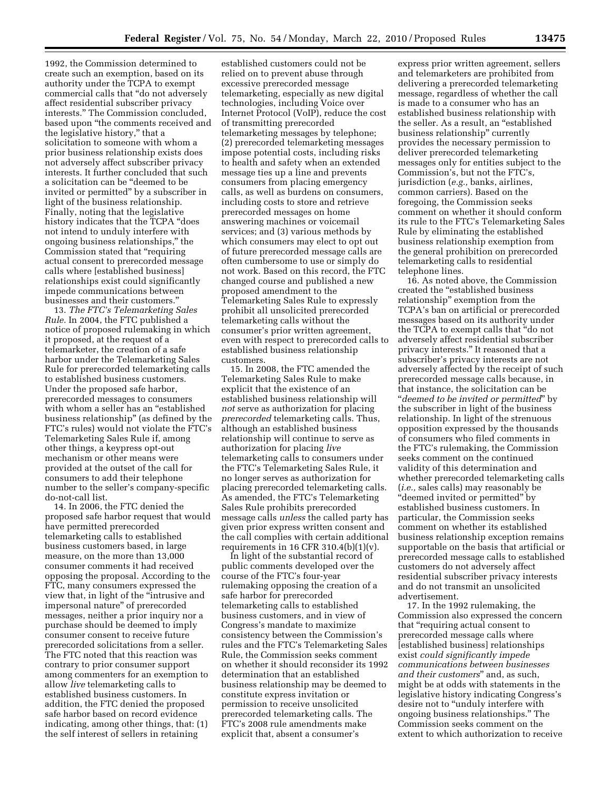1992, the Commission determined to create such an exemption, based on its authority under the TCPA to exempt commercial calls that ''do not adversely affect residential subscriber privacy interests.'' The Commission concluded, based upon ''the comments received and the legislative history,'' that a solicitation to someone with whom a prior business relationship exists does not adversely affect subscriber privacy interests. It further concluded that such a solicitation can be ''deemed to be invited or permitted'' by a subscriber in light of the business relationship. Finally, noting that the legislative history indicates that the TCPA "does" not intend to unduly interfere with ongoing business relationships,'' the Commission stated that ''requiring actual consent to prerecorded message calls where [established business] relationships exist could significantly impede communications between businesses and their customers.''

13. *The FTC's Telemarketing Sales Rule.* In 2004, the FTC published a notice of proposed rulemaking in which it proposed, at the request of a telemarketer, the creation of a safe harbor under the Telemarketing Sales Rule for prerecorded telemarketing calls to established business customers. Under the proposed safe harbor, prerecorded messages to consumers with whom a seller has an "established business relationship'' (as defined by the FTC's rules) would not violate the FTC's Telemarketing Sales Rule if, among other things, a keypress opt-out mechanism or other means were provided at the outset of the call for consumers to add their telephone number to the seller's company-specific do-not-call list.

14. In 2006, the FTC denied the proposed safe harbor request that would have permitted prerecorded telemarketing calls to established business customers based, in large measure, on the more than 13,000 consumer comments it had received opposing the proposal. According to the FTC, many consumers expressed the view that, in light of the ''intrusive and impersonal nature'' of prerecorded messages, neither a prior inquiry nor a purchase should be deemed to imply consumer consent to receive future prerecorded solicitations from a seller. The FTC noted that this reaction was contrary to prior consumer support among commenters for an exemption to allow *live* telemarketing calls to established business customers. In addition, the FTC denied the proposed safe harbor based on record evidence indicating, among other things, that: (1) the self interest of sellers in retaining

established customers could not be relied on to prevent abuse through excessive prerecorded message telemarketing, especially as new digital technologies, including Voice over Internet Protocol (VoIP), reduce the cost of transmitting prerecorded telemarketing messages by telephone; (2) prerecorded telemarketing messages impose potential costs, including risks to health and safety when an extended message ties up a line and prevents consumers from placing emergency calls, as well as burdens on consumers, including costs to store and retrieve prerecorded messages on home answering machines or voicemail services; and (3) various methods by which consumers may elect to opt out of future prerecorded message calls are often cumbersome to use or simply do not work. Based on this record, the FTC changed course and published a new proposed amendment to the Telemarketing Sales Rule to expressly prohibit all unsolicited prerecorded telemarketing calls without the consumer's prior written agreement, even with respect to prerecorded calls to established business relationship customers.

15. In 2008, the FTC amended the Telemarketing Sales Rule to make explicit that the existence of an established business relationship will *not* serve as authorization for placing *prerecorded* telemarketing calls. Thus, although an established business relationship will continue to serve as authorization for placing *live*  telemarketing calls to consumers under the FTC's Telemarketing Sales Rule, it no longer serves as authorization for placing prerecorded telemarketing calls. As amended, the FTC's Telemarketing Sales Rule prohibits prerecorded message calls *unless* the called party has given prior express written consent and the call complies with certain additional requirements in 16 CFR 310.4(b)(1)(v).

In light of the substantial record of public comments developed over the course of the FTC's four-year rulemaking opposing the creation of a safe harbor for prerecorded telemarketing calls to established business customers, and in view of Congress's mandate to maximize consistency between the Commission's rules and the FTC's Telemarketing Sales Rule, the Commission seeks comment on whether it should reconsider its 1992 determination that an established business relationship may be deemed to constitute express invitation or permission to receive unsolicited prerecorded telemarketing calls. The FTC's 2008 rule amendments make explicit that, absent a consumer's

express prior written agreement, sellers and telemarketers are prohibited from delivering a prerecorded telemarketing message, regardless of whether the call is made to a consumer who has an established business relationship with the seller. As a result, an ''established business relationship'' currently provides the necessary permission to deliver prerecorded telemarketing messages only for entities subject to the Commission's, but not the FTC's, jurisdiction (*e.g.,* banks, airlines, common carriers). Based on the foregoing, the Commission seeks comment on whether it should conform its rule to the FTC's Telemarketing Sales Rule by eliminating the established business relationship exemption from the general prohibition on prerecorded telemarketing calls to residential telephone lines.

16. As noted above, the Commission created the ''established business relationship'' exemption from the TCPA's ban on artificial or prerecorded messages based on its authority under the TCPA to exempt calls that ''do not adversely affect residential subscriber privacy interests.'' It reasoned that a subscriber's privacy interests are not adversely affected by the receipt of such prerecorded message calls because, in that instance, the solicitation can be ''*deemed to be invited or permitted*'' by the subscriber in light of the business relationship. In light of the strenuous opposition expressed by the thousands of consumers who filed comments in the FTC's rulemaking, the Commission seeks comment on the continued validity of this determination and whether prerecorded telemarketing calls (*i.e.,* sales calls) may reasonably be ''deemed invited or permitted'' by established business customers. In particular, the Commission seeks comment on whether its established business relationship exception remains supportable on the basis that artificial or prerecorded message calls to established customers do not adversely affect residential subscriber privacy interests and do not transmit an unsolicited advertisement.

17. In the 1992 rulemaking, the Commission also expressed the concern that ''requiring actual consent to prerecorded message calls where [established business] relationships exist *could significantly impede communications between businesses and their customers*'' and, as such, might be at odds with statements in the legislative history indicating Congress's desire not to "unduly interfere with ongoing business relationships.'' The Commission seeks comment on the extent to which authorization to receive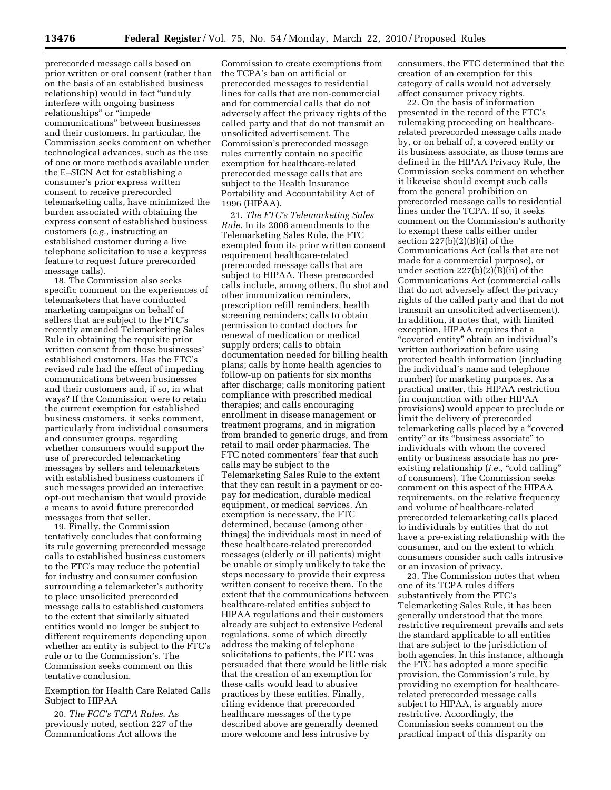prerecorded message calls based on prior written or oral consent (rather than on the basis of an established business relationship) would in fact ''unduly interfere with ongoing business relationships'' or ''impede communications'' between businesses and their customers. In particular, the Commission seeks comment on whether technological advances, such as the use of one or more methods available under the E–SIGN Act for establishing a consumer's prior express written consent to receive prerecorded telemarketing calls, have minimized the burden associated with obtaining the express consent of established business customers (*e.g.,* instructing an established customer during a live telephone solicitation to use a keypress feature to request future prerecorded message calls).

18. The Commission also seeks specific comment on the experiences of telemarketers that have conducted marketing campaigns on behalf of sellers that are subject to the FTC's recently amended Telemarketing Sales Rule in obtaining the requisite prior written consent from those businesses' established customers. Has the FTC's revised rule had the effect of impeding communications between businesses and their customers and, if so, in what ways? If the Commission were to retain the current exemption for established business customers, it seeks comment, particularly from individual consumers and consumer groups, regarding whether consumers would support the use of prerecorded telemarketing messages by sellers and telemarketers with established business customers if such messages provided an interactive opt-out mechanism that would provide a means to avoid future prerecorded messages from that seller.

19. Finally, the Commission tentatively concludes that conforming its rule governing prerecorded message calls to established business customers to the FTC's may reduce the potential for industry and consumer confusion surrounding a telemarketer's authority to place unsolicited prerecorded message calls to established customers to the extent that similarly situated entities would no longer be subject to different requirements depending upon whether an entity is subject to the FTC's rule or to the Commission's. The Commission seeks comment on this tentative conclusion.

Exemption for Health Care Related Calls Subject to HIPAA

20. *The FCC's TCPA Rules.* As previously noted, section 227 of the Communications Act allows the

Commission to create exemptions from the TCPA's ban on artificial or prerecorded messages to residential lines for calls that are non-commercial and for commercial calls that do not adversely affect the privacy rights of the called party and that do not transmit an unsolicited advertisement. The Commission's prerecorded message rules currently contain no specific exemption for healthcare-related prerecorded message calls that are subject to the Health Insurance Portability and Accountability Act of 1996 (HIPAA).

21. *The FTC's Telemarketing Sales Rule.* In its 2008 amendments to the Telemarketing Sales Rule, the FTC exempted from its prior written consent requirement healthcare-related prerecorded message calls that are subject to HIPAA. These prerecorded calls include, among others, flu shot and other immunization reminders, prescription refill reminders, health screening reminders; calls to obtain permission to contact doctors for renewal of medication or medical supply orders; calls to obtain documentation needed for billing health plans; calls by home health agencies to follow-up on patients for six months after discharge; calls monitoring patient compliance with prescribed medical therapies; and calls encouraging enrollment in disease management or treatment programs, and in migration from branded to generic drugs, and from retail to mail order pharmacies. The FTC noted commenters' fear that such calls may be subject to the Telemarketing Sales Rule to the extent that they can result in a payment or copay for medication, durable medical equipment, or medical services. An exemption is necessary, the FTC determined, because (among other things) the individuals most in need of these healthcare-related prerecorded messages (elderly or ill patients) might be unable or simply unlikely to take the steps necessary to provide their express written consent to receive them. To the extent that the communications between healthcare-related entities subject to HIPAA regulations and their customers already are subject to extensive Federal regulations, some of which directly address the making of telephone solicitations to patients, the FTC was persuaded that there would be little risk that the creation of an exemption for these calls would lead to abusive practices by these entities. Finally, citing evidence that prerecorded healthcare messages of the type described above are generally deemed more welcome and less intrusive by

consumers, the FTC determined that the creation of an exemption for this category of calls would not adversely affect consumer privacy rights.

22. On the basis of information presented in the record of the FTC's rulemaking proceeding on healthcarerelated prerecorded message calls made by, or on behalf of, a covered entity or its business associate, as those terms are defined in the HIPAA Privacy Rule, the Commission seeks comment on whether it likewise should exempt such calls from the general prohibition on prerecorded message calls to residential lines under the TCPA. If so, it seeks comment on the Commission's authority to exempt these calls either under section 227(b)(2)(B)(i) of the Communications Act (calls that are not made for a commercial purpose), or under section 227(b)(2)(B)(ii) of the Communications Act (commercial calls that do not adversely affect the privacy rights of the called party and that do not transmit an unsolicited advertisement). In addition, it notes that, with limited exception, HIPAA requires that a "covered entity" obtain an individual's written authorization before using protected health information (including the individual's name and telephone number) for marketing purposes. As a practical matter, this HIPAA restriction (in conjunction with other HIPAA provisions) would appear to preclude or limit the delivery of prerecorded telemarketing calls placed by a ''covered entity" or its "business associate" to individuals with whom the covered entity or business associate has no preexisting relationship (*i.e.*, "cold calling" of consumers). The Commission seeks comment on this aspect of the HIPAA requirements, on the relative frequency and volume of healthcare-related prerecorded telemarketing calls placed to individuals by entities that do not have a pre-existing relationship with the consumer, and on the extent to which consumers consider such calls intrusive or an invasion of privacy.

23. The Commission notes that when one of its TCPA rules differs substantively from the FTC's Telemarketing Sales Rule, it has been generally understood that the more restrictive requirement prevails and sets the standard applicable to all entities that are subject to the jurisdiction of both agencies. In this instance, although the FTC has adopted a more specific provision, the Commission's rule, by providing no exemption for healthcarerelated prerecorded message calls subject to HIPAA, is arguably more restrictive. Accordingly, the Commission seeks comment on the practical impact of this disparity on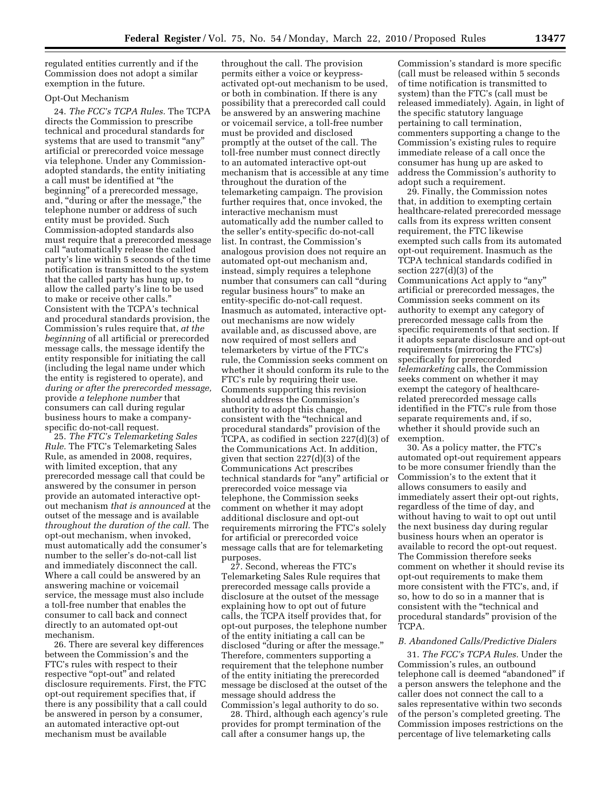regulated entities currently and if the Commission does not adopt a similar exemption in the future.

# Opt-Out Mechanism

24. *The FCC's TCPA Rules.* The TCPA directs the Commission to prescribe technical and procedural standards for systems that are used to transmit ''any'' artificial or prerecorded voice message via telephone. Under any Commissionadopted standards, the entity initiating a call must be identified at ''the beginning'' of a prerecorded message, and, "during or after the message," the telephone number or address of such entity must be provided. Such Commission-adopted standards also must require that a prerecorded message call ''automatically release the called party's line within 5 seconds of the time notification is transmitted to the system that the called party has hung up, to allow the called party's line to be used to make or receive other calls.'' Consistent with the TCPA's technical and procedural standards provision, the Commission's rules require that, *at the beginning* of all artificial or prerecorded message calls, the message identify the entity responsible for initiating the call (including the legal name under which the entity is registered to operate), and *during or after the prerecorded message,*  provide *a telephone number* that consumers can call during regular business hours to make a companyspecific do-not-call request.

25. *The FTC's Telemarketing Sales Rule.* The FTC's Telemarketing Sales Rule, as amended in 2008, requires, with limited exception, that any prerecorded message call that could be answered by the consumer in person provide an automated interactive optout mechanism *that is announced* at the outset of the message and is available *throughout the duration of the call.* The opt-out mechanism, when invoked, must automatically add the consumer's number to the seller's do-not-call list and immediately disconnect the call. Where a call could be answered by an answering machine or voicemail service, the message must also include a toll-free number that enables the consumer to call back and connect directly to an automated opt-out mechanism.

26. There are several key differences between the Commission's and the FTC's rules with respect to their respective "opt-out" and related disclosure requirements. First, the FTC opt-out requirement specifies that, if there is any possibility that a call could be answered in person by a consumer, an automated interactive opt-out mechanism must be available

throughout the call. The provision permits either a voice or keypressactivated opt-out mechanism to be used, or both in combination. If there is any possibility that a prerecorded call could be answered by an answering machine or voicemail service, a toll-free number must be provided and disclosed promptly at the outset of the call. The toll-free number must connect directly to an automated interactive opt-out mechanism that is accessible at any time throughout the duration of the telemarketing campaign. The provision further requires that, once invoked, the interactive mechanism must automatically add the number called to the seller's entity-specific do-not-call list. In contrast, the Commission's analogous provision does not require an automated opt-out mechanism and, instead, simply requires a telephone number that consumers can call ''during regular business hours'' to make an entity-specific do-not-call request. Inasmuch as automated, interactive optout mechanisms are now widely available and, as discussed above, are now required of most sellers and telemarketers by virtue of the FTC's rule, the Commission seeks comment on whether it should conform its rule to the FTC's rule by requiring their use. Comments supporting this revision should address the Commission's authority to adopt this change, consistent with the ''technical and procedural standards'' provision of the TCPA, as codified in section 227(d)(3) of the Communications Act. In addition, given that section 227(d)(3) of the Communications Act prescribes technical standards for ''any'' artificial or prerecorded voice message via telephone, the Commission seeks comment on whether it may adopt additional disclosure and opt-out requirements mirroring the FTC's solely for artificial or prerecorded voice message calls that are for telemarketing purposes.

27. Second, whereas the FTC's Telemarketing Sales Rule requires that prerecorded message calls provide a disclosure at the outset of the message explaining how to opt out of future calls, the TCPA itself provides that, for opt-out purposes, the telephone number of the entity initiating a call can be disclosed ''during or after the message.'' Therefore, commenters supporting a requirement that the telephone number of the entity initiating the prerecorded message be disclosed at the outset of the message should address the Commission's legal authority to do so.

28. Third, although each agency's rule provides for prompt termination of the call after a consumer hangs up, the

Commission's standard is more specific (call must be released within 5 seconds of time notification is transmitted to system) than the FTC's (call must be released immediately). Again, in light of the specific statutory language pertaining to call termination, commenters supporting a change to the Commission's existing rules to require immediate release of a call once the consumer has hung up are asked to address the Commission's authority to adopt such a requirement.

29. Finally, the Commission notes that, in addition to exempting certain healthcare-related prerecorded message calls from its express written consent requirement, the FTC likewise exempted such calls from its automated opt-out requirement. Inasmuch as the TCPA technical standards codified in section 227(d)(3) of the Communications Act apply to "any" artificial or prerecorded messages, the Commission seeks comment on its authority to exempt any category of prerecorded message calls from the specific requirements of that section. If it adopts separate disclosure and opt-out requirements (mirroring the FTC's) specifically for prerecorded *telemarketing* calls, the Commission seeks comment on whether it may exempt the category of healthcarerelated prerecorded message calls identified in the FTC's rule from those separate requirements and, if so, whether it should provide such an exemption.

30. As a policy matter, the FTC's automated opt-out requirement appears to be more consumer friendly than the Commission's to the extent that it allows consumers to easily and immediately assert their opt-out rights, regardless of the time of day, and without having to wait to opt out until the next business day during regular business hours when an operator is available to record the opt-out request. The Commission therefore seeks comment on whether it should revise its opt-out requirements to make them more consistent with the FTC's, and, if so, how to do so in a manner that is consistent with the ''technical and procedural standards'' provision of the TCPA.

## *B. Abandoned Calls/Predictive Dialers*

31. *The FCC's TCPA Rules.* Under the Commission's rules, an outbound telephone call is deemed "abandoned" if a person answers the telephone and the caller does not connect the call to a sales representative within two seconds of the person's completed greeting. The Commission imposes restrictions on the percentage of live telemarketing calls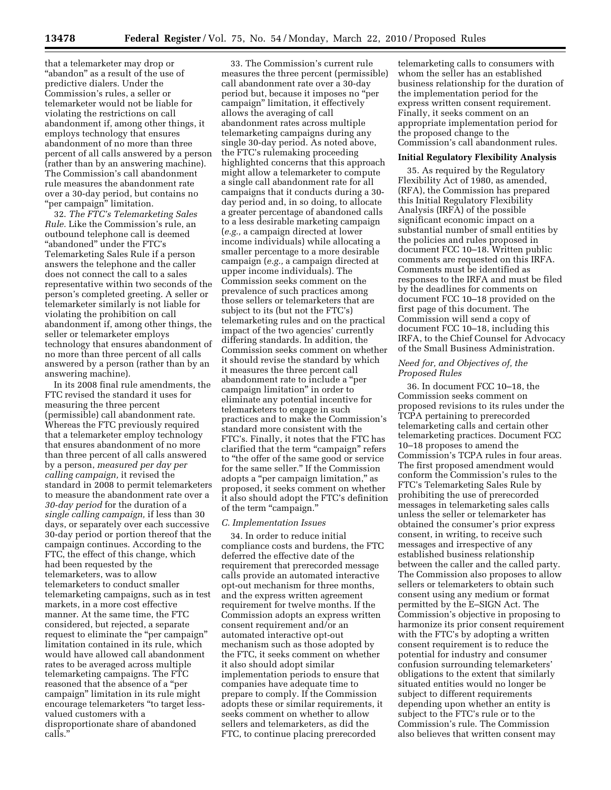that a telemarketer may drop or ''abandon'' as a result of the use of predictive dialers. Under the Commission's rules, a seller or telemarketer would not be liable for violating the restrictions on call abandonment if, among other things, it employs technology that ensures abandonment of no more than three percent of all calls answered by a person (rather than by an answering machine). The Commission's call abandonment rule measures the abandonment rate over a 30-day period, but contains no "per campaign" limitation.

32. *The FTC's Telemarketing Sales Rule.* Like the Commission's rule, an outbound telephone call is deemed ''abandoned'' under the FTC's Telemarketing Sales Rule if a person answers the telephone and the caller does not connect the call to a sales representative within two seconds of the person's completed greeting. A seller or telemarketer similarly is not liable for violating the prohibition on call abandonment if, among other things, the seller or telemarketer employs technology that ensures abandonment of no more than three percent of all calls answered by a person (rather than by an answering machine).

In its 2008 final rule amendments, the FTC revised the standard it uses for measuring the three percent (permissible) call abandonment rate. Whereas the FTC previously required that a telemarketer employ technology that ensures abandonment of no more than three percent of all calls answered by a person, *measured per day per calling campaign,* it revised the standard in 2008 to permit telemarketers to measure the abandonment rate over a *30-day period* for the duration of a *single calling campaign,* if less than 30 days, or separately over each successive 30-day period or portion thereof that the campaign continues. According to the FTC, the effect of this change, which had been requested by the telemarketers, was to allow telemarketers to conduct smaller telemarketing campaigns, such as in test markets, in a more cost effective manner. At the same time, the FTC considered, but rejected, a separate request to eliminate the ''per campaign'' limitation contained in its rule, which would have allowed call abandonment rates to be averaged across multiple telemarketing campaigns. The FTC reasoned that the absence of a ''per campaign'' limitation in its rule might encourage telemarketers ''to target lessvalued customers with a disproportionate share of abandoned calls.'

33. The Commission's current rule measures the three percent (permissible) call abandonment rate over a 30-day period but, because it imposes no ''per campaign'' limitation, it effectively allows the averaging of call abandonment rates across multiple telemarketing campaigns during any single 30-day period. As noted above, the FTC's rulemaking proceeding highlighted concerns that this approach might allow a telemarketer to compute a single call abandonment rate for all campaigns that it conducts during a 30 day period and, in so doing, to allocate a greater percentage of abandoned calls to a less desirable marketing campaign (*e.g.,* a campaign directed at lower income individuals) while allocating a smaller percentage to a more desirable campaign (*e.g.,* a campaign directed at upper income individuals). The Commission seeks comment on the prevalence of such practices among those sellers or telemarketers that are subject to its (but not the FTC's) telemarketing rules and on the practical impact of the two agencies' currently differing standards. In addition, the Commission seeks comment on whether it should revise the standard by which it measures the three percent call abandonment rate to include a ''per campaign limitation'' in order to eliminate any potential incentive for telemarketers to engage in such practices and to make the Commission's standard more consistent with the FTC's. Finally, it notes that the FTC has clarified that the term "campaign" refers to ''the offer of the same good or service for the same seller.'' If the Commission adopts a ''per campaign limitation,'' as proposed, it seeks comment on whether it also should adopt the FTC's definition of the term "campaign."

#### *C. Implementation Issues*

34. In order to reduce initial compliance costs and burdens, the FTC deferred the effective date of the requirement that prerecorded message calls provide an automated interactive opt-out mechanism for three months, and the express written agreement requirement for twelve months. If the Commission adopts an express written consent requirement and/or an automated interactive opt-out mechanism such as those adopted by the FTC, it seeks comment on whether it also should adopt similar implementation periods to ensure that companies have adequate time to prepare to comply. If the Commission adopts these or similar requirements, it seeks comment on whether to allow sellers and telemarketers, as did the FTC, to continue placing prerecorded

telemarketing calls to consumers with whom the seller has an established business relationship for the duration of the implementation period for the express written consent requirement. Finally, it seeks comment on an appropriate implementation period for the proposed change to the Commission's call abandonment rules.

#### **Initial Regulatory Flexibility Analysis**

35. As required by the Regulatory Flexibility Act of 1980, as amended, (RFA), the Commission has prepared this Initial Regulatory Flexibility Analysis (IRFA) of the possible significant economic impact on a substantial number of small entities by the policies and rules proposed in document FCC 10–18. Written public comments are requested on this IRFA. Comments must be identified as responses to the IRFA and must be filed by the deadlines for comments on document FCC 10–18 provided on the first page of this document. The Commission will send a copy of document FCC 10–18, including this IRFA, to the Chief Counsel for Advocacy of the Small Business Administration.

#### *Need for, and Objectives of, the Proposed Rules*

36. In document FCC 10–18, the Commission seeks comment on proposed revisions to its rules under the TCPA pertaining to prerecorded telemarketing calls and certain other telemarketing practices. Document FCC 10–18 proposes to amend the Commission's TCPA rules in four areas. The first proposed amendment would conform the Commission's rules to the FTC's Telemarketing Sales Rule by prohibiting the use of prerecorded messages in telemarketing sales calls unless the seller or telemarketer has obtained the consumer's prior express consent, in writing, to receive such messages and irrespective of any established business relationship between the caller and the called party. The Commission also proposes to allow sellers or telemarketers to obtain such consent using any medium or format permitted by the E–SIGN Act. The Commission's objective in proposing to harmonize its prior consent requirement with the FTC's by adopting a written consent requirement is to reduce the potential for industry and consumer confusion surrounding telemarketers' obligations to the extent that similarly situated entities would no longer be subject to different requirements depending upon whether an entity is subject to the FTC's rule or to the Commission's rule. The Commission also believes that written consent may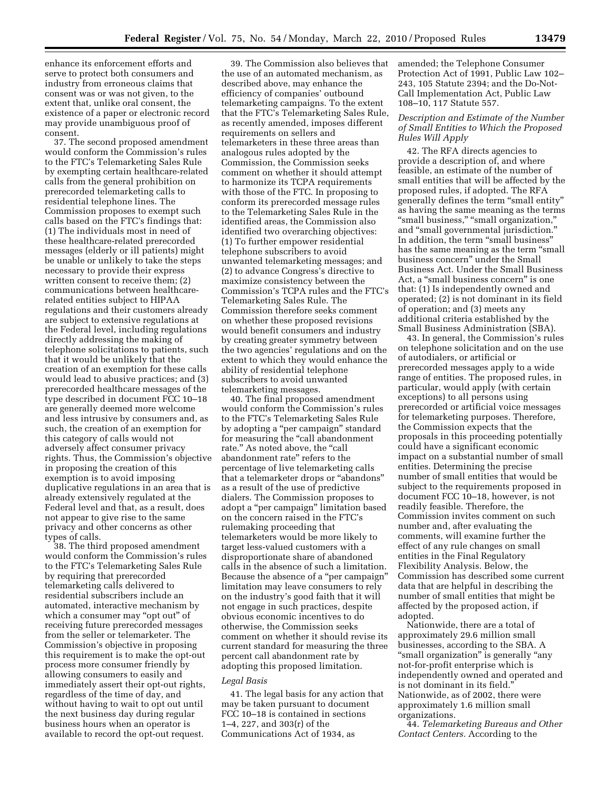enhance its enforcement efforts and serve to protect both consumers and industry from erroneous claims that consent was or was not given, to the extent that, unlike oral consent, the existence of a paper or electronic record may provide unambiguous proof of consent.

37. The second proposed amendment would conform the Commission's rules to the FTC's Telemarketing Sales Rule by exempting certain healthcare-related calls from the general prohibition on prerecorded telemarketing calls to residential telephone lines. The Commission proposes to exempt such calls based on the FTC's findings that: (1) The individuals most in need of these healthcare-related prerecorded messages (elderly or ill patients) might be unable or unlikely to take the steps necessary to provide their express written consent to receive them; (2) communications between healthcarerelated entities subject to HIPAA regulations and their customers already are subject to extensive regulations at the Federal level, including regulations directly addressing the making of telephone solicitations to patients, such that it would be unlikely that the creation of an exemption for these calls would lead to abusive practices; and (3) prerecorded healthcare messages of the type described in document FCC 10–18 are generally deemed more welcome and less intrusive by consumers and, as such, the creation of an exemption for this category of calls would not adversely affect consumer privacy rights. Thus, the Commission's objective in proposing the creation of this exemption is to avoid imposing duplicative regulations in an area that is already extensively regulated at the Federal level and that, as a result, does not appear to give rise to the same privacy and other concerns as other types of calls.

38. The third proposed amendment would conform the Commission's rules to the FTC's Telemarketing Sales Rule by requiring that prerecorded telemarketing calls delivered to residential subscribers include an automated, interactive mechanism by which a consumer may "opt out" of receiving future prerecorded messages from the seller or telemarketer. The Commission's objective in proposing this requirement is to make the opt-out process more consumer friendly by allowing consumers to easily and immediately assert their opt-out rights, regardless of the time of day, and without having to wait to opt out until the next business day during regular business hours when an operator is available to record the opt-out request.

39. The Commission also believes that the use of an automated mechanism, as described above, may enhance the efficiency of companies' outbound telemarketing campaigns. To the extent that the FTC's Telemarketing Sales Rule, as recently amended, imposes different requirements on sellers and telemarketers in these three areas than analogous rules adopted by the Commission, the Commission seeks comment on whether it should attempt to harmonize its TCPA requirements with those of the FTC. In proposing to conform its prerecorded message rules to the Telemarketing Sales Rule in the identified areas, the Commission also identified two overarching objectives: (1) To further empower residential telephone subscribers to avoid unwanted telemarketing messages; and (2) to advance Congress's directive to maximize consistency between the Commission's TCPA rules and the FTC's Telemarketing Sales Rule. The Commission therefore seeks comment on whether these proposed revisions would benefit consumers and industry by creating greater symmetry between the two agencies' regulations and on the extent to which they would enhance the ability of residential telephone subscribers to avoid unwanted telemarketing messages.

40. The final proposed amendment would conform the Commission's rules to the FTC's Telemarketing Sales Rule by adopting a ''per campaign'' standard for measuring the "call abandonment rate." As noted above, the "call abandonment rate'' refers to the percentage of live telemarketing calls that a telemarketer drops or ''abandons'' as a result of the use of predictive dialers. The Commission proposes to adopt a ''per campaign'' limitation based on the concern raised in the FTC's rulemaking proceeding that telemarketers would be more likely to target less-valued customers with a disproportionate share of abandoned calls in the absence of such a limitation. Because the absence of a ''per campaign'' limitation may leave consumers to rely on the industry's good faith that it will not engage in such practices, despite obvious economic incentives to do otherwise, the Commission seeks comment on whether it should revise its current standard for measuring the three percent call abandonment rate by adopting this proposed limitation.

#### *Legal Basis*

41. The legal basis for any action that may be taken pursuant to document FCC 10–18 is contained in sections 1–4, 227, and 303(r) of the Communications Act of 1934, as

amended; the Telephone Consumer Protection Act of 1991, Public Law 102– 243, 105 Statute 2394; and the Do-Not-Call Implementation Act, Public Law 108–10, 117 Statute 557.

## *Description and Estimate of the Number of Small Entities to Which the Proposed Rules Will Apply*

42. The RFA directs agencies to provide a description of, and where feasible, an estimate of the number of small entities that will be affected by the proposed rules, if adopted. The RFA generally defines the term ''small entity'' as having the same meaning as the terms ''small business,'' ''small organization,'' and ''small governmental jurisdiction.'' In addition, the term "small business" has the same meaning as the term "small" business concern'' under the Small Business Act. Under the Small Business Act, a ''small business concern'' is one that: (1) Is independently owned and operated; (2) is not dominant in its field of operation; and (3) meets any additional criteria established by the Small Business Administration (SBA).

43. In general, the Commission's rules on telephone solicitation and on the use of autodialers, or artificial or prerecorded messages apply to a wide range of entities. The proposed rules, in particular, would apply (with certain exceptions) to all persons using prerecorded or artificial voice messages for telemarketing purposes. Therefore, the Commission expects that the proposals in this proceeding potentially could have a significant economic impact on a substantial number of small entities. Determining the precise number of small entities that would be subject to the requirements proposed in document FCC 10–18, however, is not readily feasible. Therefore, the Commission invites comment on such number and, after evaluating the comments, will examine further the effect of any rule changes on small entities in the Final Regulatory Flexibility Analysis. Below, the Commission has described some current data that are helpful in describing the number of small entities that might be affected by the proposed action, if adopted.

Nationwide, there are a total of approximately 29.6 million small businesses, according to the SBA. A ''small organization'' is generally ''any not-for-profit enterprise which is independently owned and operated and is not dominant in its field.'' Nationwide, as of 2002, there were approximately 1.6 million small organizations.

44. *Telemarketing Bureaus and Other Contact Centers.* According to the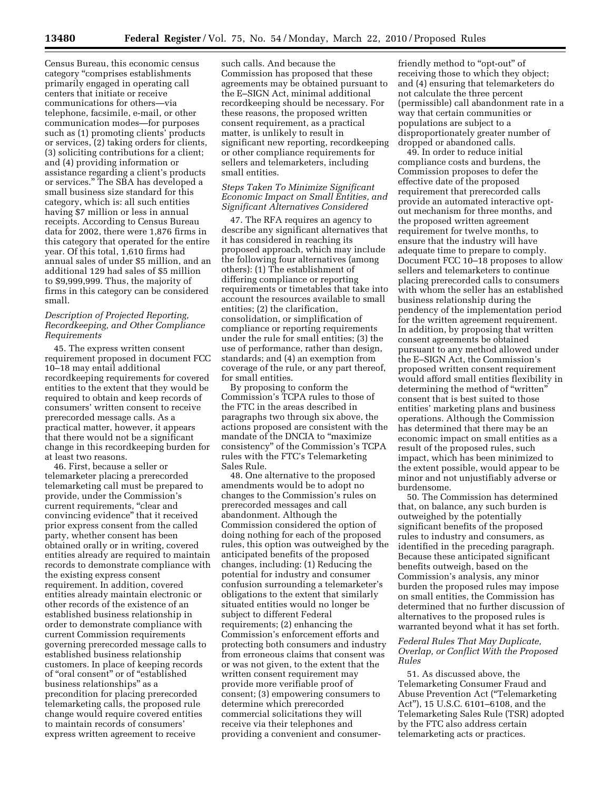Census Bureau, this economic census category ''comprises establishments primarily engaged in operating call centers that initiate or receive communications for others—via telephone, facsimile, e-mail, or other communication modes—for purposes such as (1) promoting clients' products or services, (2) taking orders for clients, (3) soliciting contributions for a client; and (4) providing information or assistance regarding a client's products or services.'' The SBA has developed a small business size standard for this category, which is: all such entities having \$7 million or less in annual receipts. According to Census Bureau data for 2002, there were 1,876 firms in this category that operated for the entire year. Of this total, 1,610 firms had annual sales of under \$5 million, and an additional 129 had sales of \$5 million to \$9,999,999. Thus, the majority of firms in this category can be considered small.

## *Description of Projected Reporting, Recordkeeping, and Other Compliance Requirements*

45. The express written consent requirement proposed in document FCC 10–18 may entail additional recordkeeping requirements for covered entities to the extent that they would be required to obtain and keep records of consumers' written consent to receive prerecorded message calls. As a practical matter, however, it appears that there would not be a significant change in this recordkeeping burden for at least two reasons.

46. First, because a seller or telemarketer placing a prerecorded telemarketing call must be prepared to provide, under the Commission's current requirements, "clear and convincing evidence'' that it received prior express consent from the called party, whether consent has been obtained orally or in writing, covered entities already are required to maintain records to demonstrate compliance with the existing express consent requirement. In addition, covered entities already maintain electronic or other records of the existence of an established business relationship in order to demonstrate compliance with current Commission requirements governing prerecorded message calls to established business relationship customers. In place of keeping records of "oral consent" or of "established business relationships'' as a precondition for placing prerecorded telemarketing calls, the proposed rule change would require covered entities to maintain records of consumers' express written agreement to receive

such calls. And because the Commission has proposed that these agreements may be obtained pursuant to the E–SIGN Act, minimal additional recordkeeping should be necessary. For these reasons, the proposed written consent requirement, as a practical matter, is unlikely to result in significant new reporting, recordkeeping or other compliance requirements for sellers and telemarketers, including small entities.

## *Steps Taken To Minimize Significant Economic Impact on Small Entities, and Significant Alternatives Considered*

47. The RFA requires an agency to describe any significant alternatives that it has considered in reaching its proposed approach, which may include the following four alternatives (among others): (1) The establishment of differing compliance or reporting requirements or timetables that take into account the resources available to small entities; (2) the clarification, consolidation, or simplification of compliance or reporting requirements under the rule for small entities; (3) the use of performance, rather than design, standards; and (4) an exemption from coverage of the rule, or any part thereof, for small entities.

By proposing to conform the Commission's TCPA rules to those of the FTC in the areas described in paragraphs two through six above, the actions proposed are consistent with the mandate of the DNCIA to "maximize" consistency'' of the Commission's TCPA rules with the FTC's Telemarketing Sales Rule.

48. One alternative to the proposed amendments would be to adopt no changes to the Commission's rules on prerecorded messages and call abandonment. Although the Commission considered the option of doing nothing for each of the proposed rules, this option was outweighed by the anticipated benefits of the proposed changes, including: (1) Reducing the potential for industry and consumer confusion surrounding a telemarketer's obligations to the extent that similarly situated entities would no longer be subject to different Federal requirements; (2) enhancing the Commission's enforcement efforts and protecting both consumers and industry from erroneous claims that consent was or was not given, to the extent that the written consent requirement may provide more verifiable proof of consent; (3) empowering consumers to determine which prerecorded commercial solicitations they will receive via their telephones and providing a convenient and consumer-

friendly method to "opt-out" of receiving those to which they object; and (4) ensuring that telemarketers do not calculate the three percent (permissible) call abandonment rate in a way that certain communities or populations are subject to a disproportionately greater number of dropped or abandoned calls.

49. In order to reduce initial compliance costs and burdens, the Commission proposes to defer the effective date of the proposed requirement that prerecorded calls provide an automated interactive optout mechanism for three months, and the proposed written agreement requirement for twelve months, to ensure that the industry will have adequate time to prepare to comply. Document FCC 10–18 proposes to allow sellers and telemarketers to continue placing prerecorded calls to consumers with whom the seller has an established business relationship during the pendency of the implementation period for the written agreement requirement. In addition, by proposing that written consent agreements be obtained pursuant to any method allowed under the E–SIGN Act, the Commission's proposed written consent requirement would afford small entities flexibility in determining the method of "written" consent that is best suited to those entities' marketing plans and business operations. Although the Commission has determined that there may be an economic impact on small entities as a result of the proposed rules, such impact, which has been minimized to the extent possible, would appear to be minor and not unjustifiably adverse or burdensome.

50. The Commission has determined that, on balance, any such burden is outweighed by the potentially significant benefits of the proposed rules to industry and consumers, as identified in the preceding paragraph. Because these anticipated significant benefits outweigh, based on the Commission's analysis, any minor burden the proposed rules may impose on small entities, the Commission has determined that no further discussion of alternatives to the proposed rules is warranted beyond what it has set forth.

## *Federal Rules That May Duplicate, Overlap, or Conflict With the Proposed Rules*

51. As discussed above, the Telemarketing Consumer Fraud and Abuse Prevention Act (''Telemarketing Act''), 15 U.S.C. 6101–6108, and the Telemarketing Sales Rule (TSR) adopted by the FTC also address certain telemarketing acts or practices.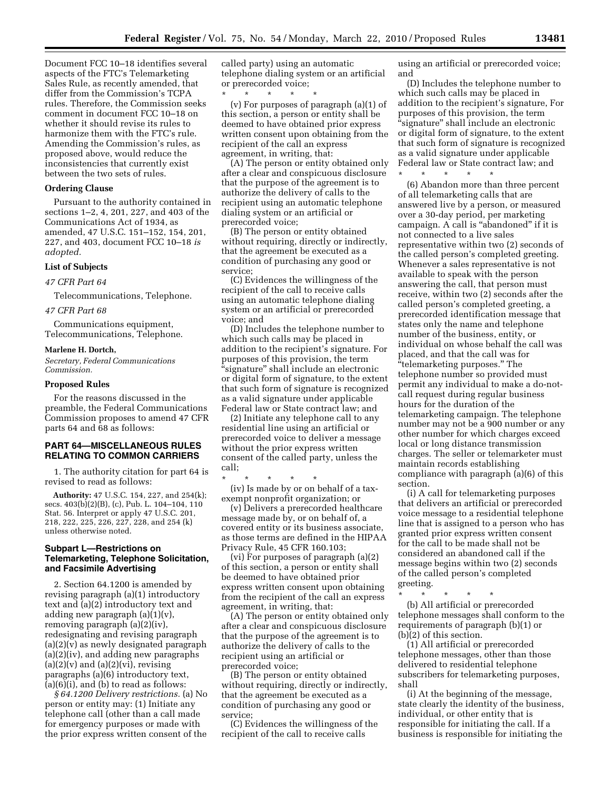Document FCC 10–18 identifies several aspects of the FTC's Telemarketing Sales Rule, as recently amended, that differ from the Commission's TCPA rules. Therefore, the Commission seeks comment in document FCC 10–18 on whether it should revise its rules to harmonize them with the FTC's rule. Amending the Commission's rules, as proposed above, would reduce the inconsistencies that currently exist between the two sets of rules.

#### **Ordering Clause**

Pursuant to the authority contained in sections 1–2, 4, 201, 227, and 403 of the Communications Act of 1934, as amended, 47 U.S.C. 151–152, 154, 201, 227, and 403, document FCC 10–18 *is adopted.* 

# **List of Subjects**

*47 CFR Part 64* 

Telecommunications, Telephone.

#### *47 CFR Part 68*

Communications equipment, Telecommunications, Telephone.

#### **Marlene H. Dortch,**

*Secretary, Federal Communications Commission.* 

#### **Proposed Rules**

For the reasons discussed in the preamble, the Federal Communications Commission proposes to amend 47 CFR parts 64 and 68 as follows:

# **PART 64—MISCELLANEOUS RULES RELATING TO COMMON CARRIERS**

1. The authority citation for part 64 is revised to read as follows:

**Authority:** 47 U.S.C. 154, 227, and 254(k); secs. 403(b)(2)(B), (c), Pub. L. 104–104, 110 Stat. 56. Interpret or apply 47 U.S.C. 201, 218, 222, 225, 226, 227, 228, and 254 (k) unless otherwise noted.

## **Subpart L—Restrictions on Telemarketing, Telephone Solicitation, and Facsimile Advertising**

2. Section 64.1200 is amended by revising paragraph (a)(1) introductory text and (a)(2) introductory text and adding new paragraph  $(a)(1)(v)$ , removing paragraph (a)(2)(iv), redesignating and revising paragraph  $(a)(2)(v)$  as newly designated paragraph (a)(2)(iv), and adding new paragraphs  $(a)(2)(v)$  and  $(a)(2)(vi)$ , revising paragraphs (a)(6) introductory text,  $(a)(6)(i)$ , and  $(b)$  to read as follows:

*§ 64.1200 Delivery restrictions.* (a) No person or entity may: (1) Initiate any telephone call (other than a call made for emergency purposes or made with the prior express written consent of the

called party) using an automatic telephone dialing system or an artificial or prerecorded voice;

\* \* \* \* \* (v) For purposes of paragraph (a)(1) of this section, a person or entity shall be deemed to have obtained prior express written consent upon obtaining from the recipient of the call an express agreement, in writing, that:

(A) The person or entity obtained only after a clear and conspicuous disclosure that the purpose of the agreement is to authorize the delivery of calls to the recipient using an automatic telephone dialing system or an artificial or prerecorded voice;

(B) The person or entity obtained without requiring, directly or indirectly, that the agreement be executed as a condition of purchasing any good or service;

(C) Evidences the willingness of the recipient of the call to receive calls using an automatic telephone dialing system or an artificial or prerecorded voice; and

(D) Includes the telephone number to which such calls may be placed in addition to the recipient's signature. For purposes of this provision, the term ''signature'' shall include an electronic or digital form of signature, to the extent that such form of signature is recognized as a valid signature under applicable Federal law or State contract law; and

(2) Initiate any telephone call to any residential line using an artificial or prerecorded voice to deliver a message without the prior express written consent of the called party, unless the call;

\* \* \* \* \* (iv) Is made by or on behalf of a taxexempt nonprofit organization; or

(v) Delivers a prerecorded healthcare message made by, or on behalf of, a covered entity or its business associate, as those terms are defined in the HIPAA Privacy Rule, 45 CFR 160.103;

(vi) For purposes of paragraph (a)(2) of this section, a person or entity shall be deemed to have obtained prior express written consent upon obtaining from the recipient of the call an express agreement, in writing, that:

(A) The person or entity obtained only after a clear and conspicuous disclosure that the purpose of the agreement is to authorize the delivery of calls to the recipient using an artificial or prerecorded voice;

(B) The person or entity obtained without requiring, directly or indirectly, that the agreement be executed as a condition of purchasing any good or service;

(C) Evidences the willingness of the recipient of the call to receive calls

using an artificial or prerecorded voice; and

(D) Includes the telephone number to which such calls may be placed in addition to the recipient's signature, For purposes of this provision, the term ''signature'' shall include an electronic or digital form of signature, to the extent that such form of signature is recognized as a valid signature under applicable Federal law or State contract law; and \* \* \* \* \*

(6) Abandon more than three percent of all telemarketing calls that are answered live by a person, or measured over a 30-day period, per marketing campaign. A call is "abandoned" if it is not connected to a live sales representative within two (2) seconds of the called person's completed greeting. Whenever a sales representative is not available to speak with the person answering the call, that person must receive, within two (2) seconds after the called person's completed greeting, a prerecorded identification message that states only the name and telephone number of the business, entity, or individual on whose behalf the call was placed, and that the call was for ''telemarketing purposes.'' The telephone number so provided must permit any individual to make a do-notcall request during regular business hours for the duration of the telemarketing campaign. The telephone number may not be a 900 number or any other number for which charges exceed local or long distance transmission charges. The seller or telemarketer must maintain records establishing compliance with paragraph (a)(6) of this section.

(i) A call for telemarketing purposes that delivers an artificial or prerecorded voice message to a residential telephone line that is assigned to a person who has granted prior express written consent for the call to be made shall not be considered an abandoned call if the message begins within two (2) seconds of the called person's completed greeting.

\* \* \* \* \*

(b) All artificial or prerecorded telephone messages shall conform to the requirements of paragraph (b)(1) or (b)(2) of this section.

(1) All artificial or prerecorded telephone messages, other than those delivered to residential telephone subscribers for telemarketing purposes, shall

(i) At the beginning of the message, state clearly the identity of the business, individual, or other entity that is responsible for initiating the call. If a business is responsible for initiating the